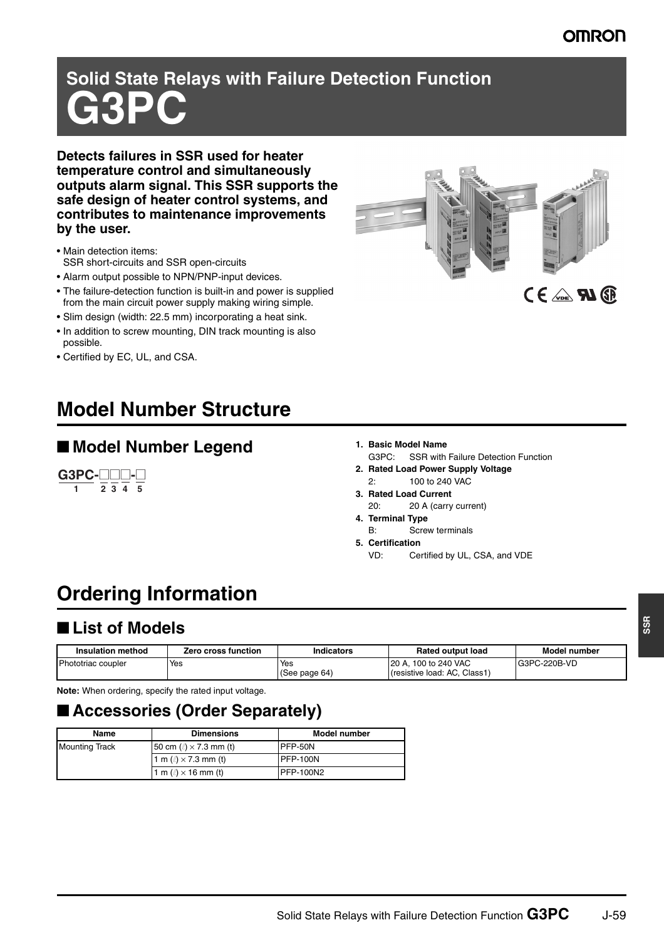## **OMRON**

# **Solid State Relays with Failure Detection Function G3PC**

**Detects failures in SSR used for heater temperature control and simultaneously outputs alarm signal. This SSR supports the safe design of heater control systems, and contributes to maintenance improvements by the user.**

- Main detection items: SSR short-circuits and SSR open-circuits
- Alarm output possible to NPN/PNP-input devices.
- The failure-detection function is built-in and power is supplied from the main circuit power supply making wiring simple.
- Slim design (width: 22.5 mm) incorporating a heat sink.
- In addition to screw mounting, DIN track mounting is also possible.
- Certified by EC, UL, and CSA.

# **Model Number Structure**

### ■ **Model Number Legend** 1. Basic Model Name

 $\overline{2}$   $\overline{3}$   $\overline{4}$   $\overline{5}$ **G3PC-**□□□-□

- 
- G3PC: SSR with Failure Detection Function **2. Rated Load Power Supply Voltage**
- 2: 100 to 240 VAC
- **3. Rated Load Current**
- 20: 20 A (carry current) **4. Terminal Type**
	- B: Screw terminals
- **5. Certification**
	- VD: Certified by UL, CSA, and VDE

# **Ordering Information**

## ■ **List of Models**

| <b>Insulation method</b> | Zero cross function | Indicators           | <b>Rated output load</b>                               | <b>Model number</b> |
|--------------------------|---------------------|----------------------|--------------------------------------------------------|---------------------|
| Phototriac coupler       | Yes                 | Yes<br>(See page 64) | 100 to 240 VAC<br>120A<br>(resistive load: AC, Class1) | G3PC-220B-VD        |

**Note:** When ordering, specify the rated input voltage.

# ■ **Accessories (Order Separately)**

| Name                  | <b>Dimensions</b>                | Model number     |
|-----------------------|----------------------------------|------------------|
| <b>Mounting Track</b> | 50 cm $(\ell) \times 7.3$ mm (t) | PFP-50N          |
|                       | 1 m $(\ell) \times 7.3$ mm (t)   | PFP-100N         |
|                       | 1 m $(\ell) \times 16$ mm (t)    | <b>PFP-100N2</b> |



**SSR**

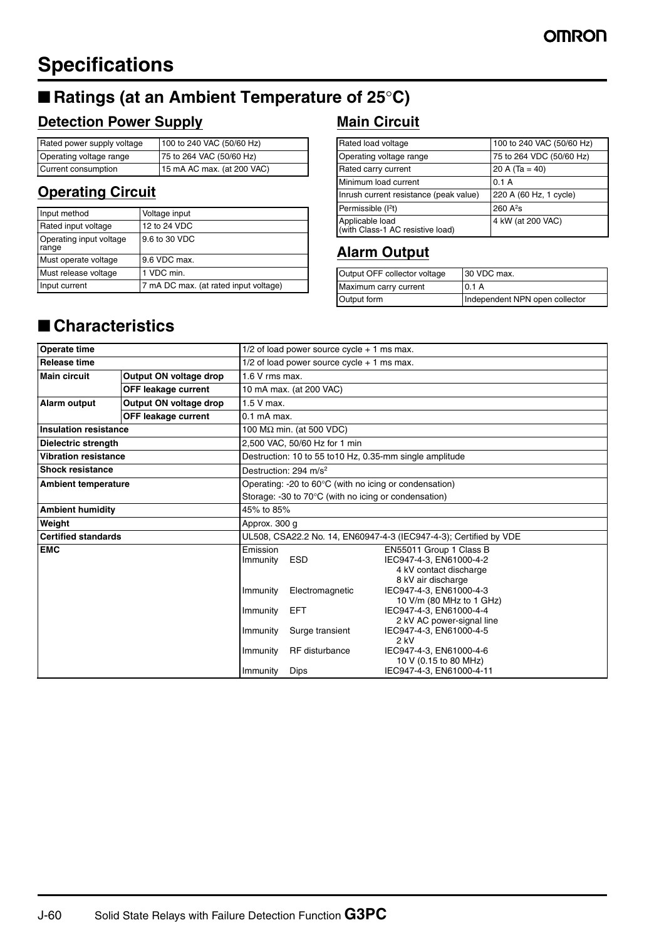# **Specifications**

# ■ **Ratings (at an Ambient Temperature of 25°C)**

## **Detection Power Supply**

| Rated power supply voltage | 100 to 240 VAC (50/60 Hz)  |
|----------------------------|----------------------------|
| Operating voltage range    | 75 to 264 VAC (50/60 Hz)   |
| Current consumption        | 15 mA AC max. (at 200 VAC) |

## **Operating Circuit**

| Input method                     | Voltage input                         |
|----------------------------------|---------------------------------------|
| Rated input voltage              | 12 to 24 VDC                          |
| Operating input voltage<br>range | 9.6 to 30 VDC                         |
| Must operate voltage             | 9.6 VDC max.                          |
| Must release voltage             | 1 VDC min.                            |
| Input current                    | 7 mA DC max. (at rated input voltage) |

## **Main Circuit**

| Rated load voltage                                  | 100 to 240 VAC (50/60 Hz) |
|-----------------------------------------------------|---------------------------|
| Operating voltage range                             | 75 to 264 VDC (50/60 Hz)  |
| Rated carry current                                 | 20 A $(Ta = 40)$          |
| Minimum load current                                | 0.1A                      |
| Inrush current resistance (peak value)              | 220 A (60 Hz, 1 cycle)    |
| Permissible (I <sup>2</sup> t)                      | 260 A <sup>2</sup> s      |
| Applicable load<br>(with Class-1 AC resistive load) | 4 kW (at 200 VAC)         |

## **Alarm Output**

| Output OFF collector voltage | 30 VDC max.                    |
|------------------------------|--------------------------------|
| Maximum carry current        | 0.1A                           |
| Output form                  | Independent NPN open collector |

# ■ **Characteristics**

| <b>Operate time</b>          |                            | $1/2$ of load power source cycle + 1 ms max.                      |                                                                  |                                                                                                    |  |  |
|------------------------------|----------------------------|-------------------------------------------------------------------|------------------------------------------------------------------|----------------------------------------------------------------------------------------------------|--|--|
| <b>Release time</b>          |                            | $1/2$ of load power source cycle $+1$ ms max.                     |                                                                  |                                                                                                    |  |  |
| <b>Main circuit</b>          | Output ON voltage drop     | $1.6$ V rms max.                                                  |                                                                  |                                                                                                    |  |  |
|                              | <b>OFF leakage current</b> | 10 mA max. (at 200 VAC)                                           |                                                                  |                                                                                                    |  |  |
| <b>Alarm output</b>          | Output ON voltage drop     | $1.5V$ max.                                                       |                                                                  |                                                                                                    |  |  |
|                              | <b>OFF leakage current</b> | $0.1$ mA max.                                                     |                                                                  |                                                                                                    |  |  |
| <b>Insulation resistance</b> |                            |                                                                   | 100 $M\Omega$ min. (at 500 VDC)                                  |                                                                                                    |  |  |
| Dielectric strength          |                            |                                                                   | 2.500 VAC, 50/60 Hz for 1 min                                    |                                                                                                    |  |  |
| <b>Vibration resistance</b>  |                            |                                                                   | Destruction: 10 to 55 to 10 Hz, 0.35-mm single amplitude         |                                                                                                    |  |  |
| <b>Shock resistance</b>      |                            |                                                                   | Destruction: 294 m/s <sup>2</sup>                                |                                                                                                    |  |  |
| <b>Ambient temperature</b>   |                            |                                                                   | Operating: -20 to $60^{\circ}$ C (with no icing or condensation) |                                                                                                    |  |  |
|                              |                            | Storage: -30 to 70°C (with no icing or condensation)              |                                                                  |                                                                                                    |  |  |
| <b>Ambient humidity</b>      |                            | 45% to 85%                                                        |                                                                  |                                                                                                    |  |  |
| Weight                       |                            | Approx. 300 q                                                     |                                                                  |                                                                                                    |  |  |
| <b>Certified standards</b>   |                            | UL508, CSA22.2 No. 14, EN60947-4-3 (IEC947-4-3); Certified by VDE |                                                                  |                                                                                                    |  |  |
| <b>EMC</b>                   |                            | Emission<br>Immunity                                              | <b>ESD</b>                                                       | EN55011 Group 1 Class B<br>IEC947-4-3, EN61000-4-2<br>4 kV contact discharge<br>8 kV air discharge |  |  |
|                              |                            | Immunity                                                          | Electromagnetic                                                  | IEC947-4-3, EN61000-4-3<br>10 V/m (80 MHz to 1 GHz)                                                |  |  |
|                              |                            | Immunity                                                          | <b>EFT</b>                                                       | IEC947-4-3, EN61000-4-4<br>2 kV AC power-signal line                                               |  |  |
|                              |                            | Immunity                                                          | Surge transient                                                  | IEC947-4-3, EN61000-4-5<br>2 kV                                                                    |  |  |
|                              |                            | Immunity                                                          | RF disturbance                                                   | IEC947-4-3, EN61000-4-6<br>10 V (0.15 to 80 MHz)                                                   |  |  |
|                              |                            | Immunity                                                          | <b>Dips</b>                                                      | IEC947-4-3. EN61000-4-11                                                                           |  |  |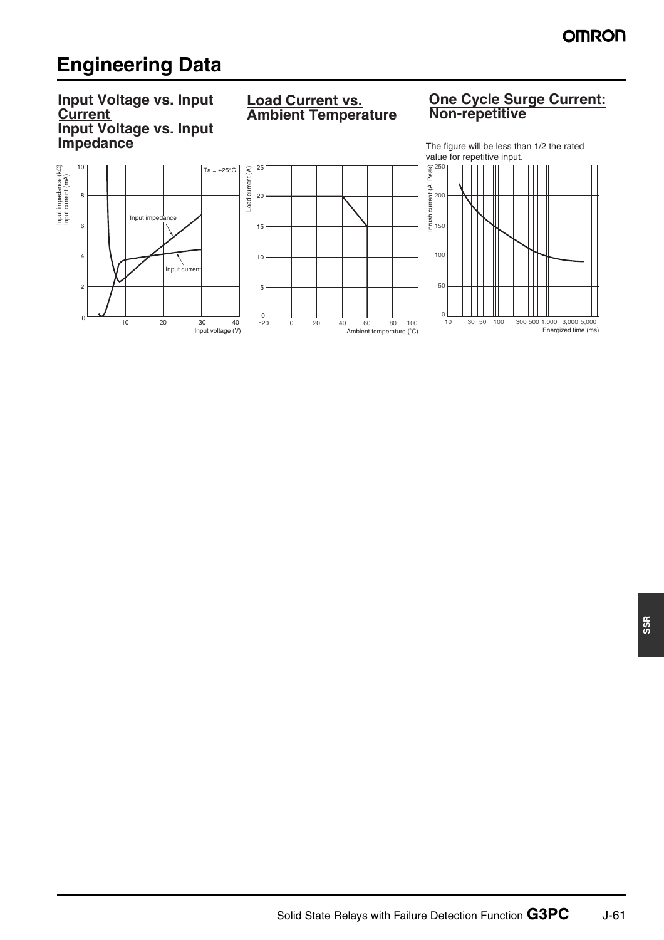# **Engineering Data**

#### **Input Voltage vs. Input Current Input Voltage vs. Input Impedance**

### **Load Current vs. Ambient Temperature**

#### **One Cycle Surge Current: Non-repetitive**





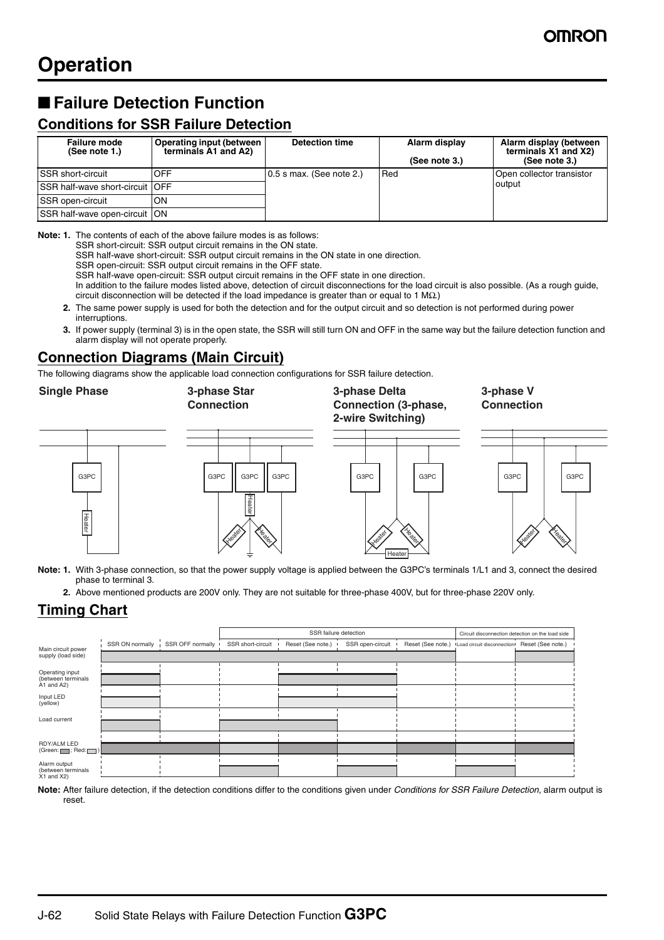# ■ Failure Detection Function

#### **Conditions for SSR Failure Detection**

| <b>Failure mode</b><br>(See note 1.)     | Operating input (between<br>terminals A1 and A2) | <b>Detection time</b>      | Alarm display<br>(See note 3.) | Alarm display (between<br>terminals X1 and X2)<br>(See note 3.) |
|------------------------------------------|--------------------------------------------------|----------------------------|--------------------------------|-----------------------------------------------------------------|
| <b>SSR</b> short-circuit                 | OFF                                              | $0.5$ s max. (See note 2.) | Red                            | Open collector transistor                                       |
| <b>SSR half-wave short-circuit   OFF</b> |                                                  |                            |                                | output                                                          |
| SSR open-circuit                         | ON                                               |                            |                                |                                                                 |
| SSR half-wave open-circuit   ON          |                                                  |                            |                                |                                                                 |

**Note: 1.** The contents of each of the above failure modes is as follows:

SSR short-circuit: SSR output circuit remains in the ON state.

SSR half-wave short-circuit: SSR output circuit remains in the ON state in one direction.

SSR open-circuit: SSR output circuit remains in the OFF state.

SSR half-wave open-circuit: SSR output circuit remains in the OFF state in one direction.

In addition to the failure modes listed above, detection of circuit disconnections for the load circuit is also possible. (As a rough guide, circuit disconnection will be detected if the load impedance is greater than or equal to 1 MΩ.)

- **2.** The same power supply is used for both the detection and for the output circuit and so detection is not performed during power interruptions.
- **3.** If power supply (terminal 3) is in the open state, the SSR will still turn ON and OFF in the same way but the failure detection function and alarm display will not operate properly.

#### **Connection Diagrams (Main Circuit)**

The following diagrams show the applicable load connection configurations for SSR failure detection.

**Single Phase 3-phase Star** 

**Connection**

**3-phase Delta Connection (3-phase, 2-wire Switching)**

**3-phase V Connection**







- **Note: 1.** With 3-phase connection, so that the power supply voltage is applied between the G3PC's terminals 1/L1 and 3, connect the desired phase to terminal 3.
	- **2.** Above mentioned products are 200V only. They are not suitable for three-phase 400V, but for three-phase 220V only.

#### **Timing Chart**

Heater

|                                                                   |                 |                  | SSR failure detection |                   |                  | Circuit disconnection detection on the load side |                            |                   |
|-------------------------------------------------------------------|-----------------|------------------|-----------------------|-------------------|------------------|--------------------------------------------------|----------------------------|-------------------|
| Main circuit power                                                | SSR ON normally | SSR OFF normally | SSR short-circuit     | Reset (See note.) | SSR open-circuit | Reset (See note.)                                | Load circuit disconnection | Reset (See note.) |
| supply (load side)                                                |                 |                  |                       |                   |                  |                                                  |                            |                   |
|                                                                   |                 |                  |                       |                   |                  |                                                  |                            |                   |
| Operating input<br>(between terminals<br>$\overline{A}$ 1 and A2) |                 |                  |                       |                   |                  |                                                  |                            |                   |
|                                                                   |                 |                  |                       |                   |                  |                                                  |                            |                   |
| Input LED<br>(yellow)                                             |                 |                  |                       |                   |                  |                                                  |                            |                   |
|                                                                   |                 |                  |                       |                   |                  |                                                  |                            |                   |
| Load current                                                      |                 |                  |                       |                   |                  |                                                  |                            |                   |
|                                                                   |                 |                  |                       |                   |                  |                                                  |                            |                   |
| RDY/ALM LED<br>(Green: $\Box$ ; Red: $\Box$ )                     |                 |                  |                       |                   |                  |                                                  |                            |                   |
| Alarm output                                                      |                 |                  |                       |                   |                  |                                                  |                            |                   |
| (between terminals<br>$X1$ and $X2$ )                             |                 |                  |                       |                   |                  |                                                  |                            |                   |

**Note:** After failure detection, if the detection conditions differ to the conditions given under *Conditions for SSR Failure Detection*, alarm output is reset.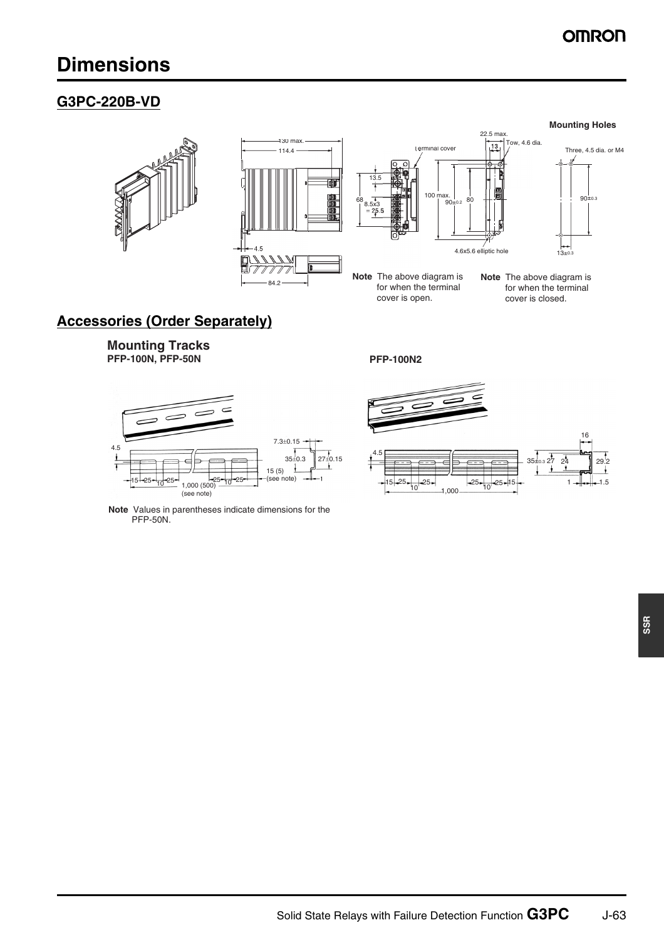# **OMRON**

# **Dimensions**

#### **G3PC-220B-VD**





**Note** The above diagram is for when the terminal cover is open.

#### **Mounting Holes**



**Note** The above diagram is for when the terminal cover is closed.

## **Accessories (Order Separately)**

**Mounting Tracks PFP-100N, PFP-50N PFP-100N2**



**Note** Values in parentheses indicate dimensions for the PFP-50N.

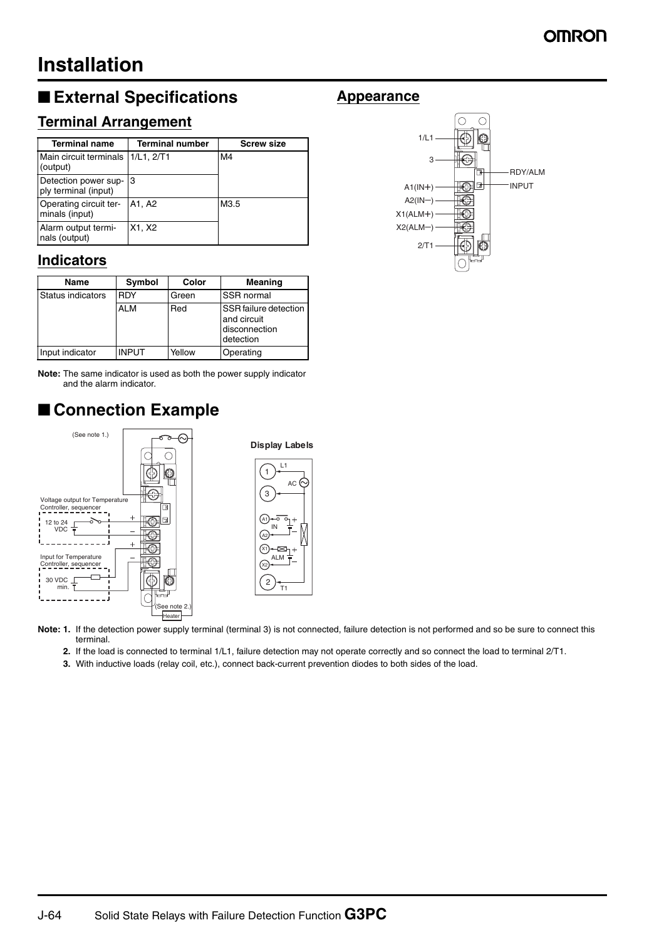# **Installation**

# ■ **External Specifications**

### **Terminal Arrangement**

| <b>Terminal name</b>                         | <b>Terminal number</b> | <b>Screw size</b> |
|----------------------------------------------|------------------------|-------------------|
| Main circuit terminals<br>(output)           | 1/L1, 2/T1             | M4                |
| Detection power sup-<br>ply terminal (input) | 3                      |                   |
| Operating circuit ter-<br>minals (input)     | A1, A2                 | M3.5              |
| Alarm output termi-<br>nals (output)         | X1, X2                 |                   |

#### **Indicators**

| Name              | Symbol       | Color  | Meaning                                                            |
|-------------------|--------------|--------|--------------------------------------------------------------------|
| Status indicators | <b>RDY</b>   | Green  | SSR normal                                                         |
|                   | <b>ALM</b>   | Red    | SSR failure detection<br>and circuit<br>disconnection<br>detection |
| Input indicator   | <b>INPUT</b> | Yellow | Operating                                                          |

**Note:** The same indicator is used as both the power supply indicator and the alarm indicator.

# ■ **Connection Example**



Note: 1. If the detection power supply terminal (terminal 3) is not connected, failure detection is not performed and so be sure to connect this terminal.

- **2.** If the load is connected to terminal 1/L1, failure detection may not operate correctly and so connect the load to terminal 2/T1.
- **3.** With inductive loads (relay coil, etc.), connect back-current prevention diodes to both sides of the load.

#### **Appearance**

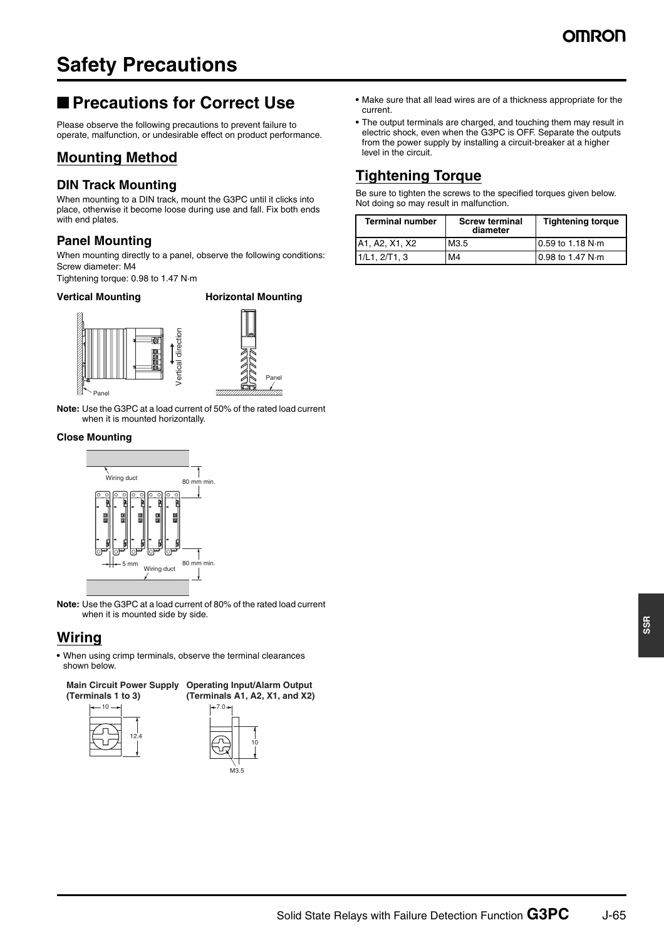# **Safety Precautions**

## ■ **Precautions for Correct Use**

Please observe the following precautions to prevent failure to operate, malfunction, or undesirable effect on product performance.

#### **Mounting Method**

#### **DIN Track Mounting**

When mounting to a DIN track, mount the G3PC until it clicks into place, otherwise it become loose during use and fall. Fix both ends with end plates.

#### **Panel Mounting**

When mounting directly to a panel, observe the following conditions: Screw diameter: M4

Tightening torque: 0.98 to 1.47 N·m

#### **Vertical Mounting Horizontal Mounting**



Panel

**Note:** Use the G3PC at a load current of 50% of the rated load current when it is mounted horizontally.

#### **Close Mounting**



**Note:** Use the G3PC at a load current of 80% of the rated load current when it is mounted side by side.

#### **Wiring**

**•** When using crimp terminals, observe the terminal clearances shown below.



- **•** Make sure that all lead wires are of a thickness appropriate for the current.
- **•** The output terminals are charged, and touching them may result in electric shock, even when the G3PC is OFF. Separate the outputs from the power supply by installing a circuit-breaker at a higher level in the circuit.

### **Tightening Torque**

Be sure to tighten the screws to the specified torques given below. Not doing so may result in malfunction.

| <b>Terminal number</b> | <b>Screw terminal</b><br>diameter | <b>Tightening torque</b>    |
|------------------------|-----------------------------------|-----------------------------|
| A1, A2, X1, X2         | M3.5                              | $10.59$ to 1.18 N $\cdot$ m |
| 1/L1, 2/T1, 3          | M4                                | $0.98$ to 1.47 N $\cdot$ m  |